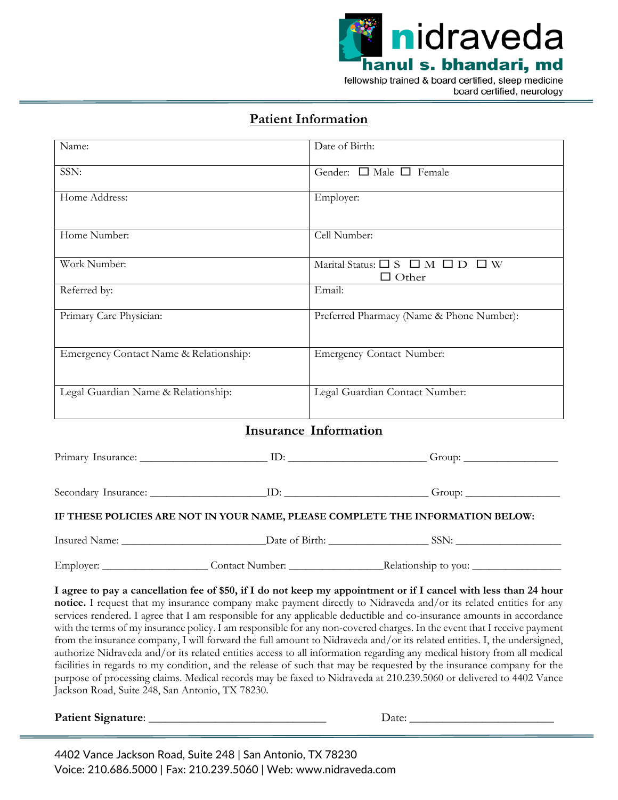

## **Patient Information**

| Name:                                  |  | Date of Birth:                                                                                                                                                                                                                                                                                                                                                  |  |
|----------------------------------------|--|-----------------------------------------------------------------------------------------------------------------------------------------------------------------------------------------------------------------------------------------------------------------------------------------------------------------------------------------------------------------|--|
| SSN:                                   |  | Gender: $\Box$ Male $\Box$ Female                                                                                                                                                                                                                                                                                                                               |  |
| Home Address:                          |  | Employer:                                                                                                                                                                                                                                                                                                                                                       |  |
| Home Number:                           |  | Cell Number:                                                                                                                                                                                                                                                                                                                                                    |  |
| Work Number:                           |  | Marital Status: $\square$ S $\square$ M $\square$ D $\square$ W<br>$\Box$ Other                                                                                                                                                                                                                                                                                 |  |
| Referred by:                           |  | Email:                                                                                                                                                                                                                                                                                                                                                          |  |
| Primary Care Physician:                |  | Preferred Pharmacy (Name & Phone Number):                                                                                                                                                                                                                                                                                                                       |  |
| Emergency Contact Name & Relationship: |  | <b>Emergency Contact Number:</b>                                                                                                                                                                                                                                                                                                                                |  |
| Legal Guardian Name & Relationship:    |  | Legal Guardian Contact Number:                                                                                                                                                                                                                                                                                                                                  |  |
|                                        |  | <b>Insurance Information</b>                                                                                                                                                                                                                                                                                                                                    |  |
|                                        |  |                                                                                                                                                                                                                                                                                                                                                                 |  |
|                                        |  |                                                                                                                                                                                                                                                                                                                                                                 |  |
|                                        |  | IF THESE POLICIES ARE NOT IN YOUR NAME, PLEASE COMPLETE THE INFORMATION BELOW:                                                                                                                                                                                                                                                                                  |  |
|                                        |  |                                                                                                                                                                                                                                                                                                                                                                 |  |
|                                        |  |                                                                                                                                                                                                                                                                                                                                                                 |  |
|                                        |  | I agree to pay a cancellation fee of \$50, if I do not keep my appointment or if I cancel with less than 24 hour<br>notice. I request that my insurance company make payment directly to Nidraveda and/or its related entities for any<br>services rendered. I agree that I am responsible for any applicable deductible and co-insurance amounts in accordance |  |

with the terms of my insurance policy. I am responsible for any non-covered charges. In the event that I receive payment from the insurance company, I will forward the full amount to Nidraveda and/or its related entities. I, the undersigned, authorize Nidraveda and/or its related entities access to all information regarding any medical history from all medical facilities in regards to my condition, and the release of such that may be requested by the insurance company for the purpose of processing claims. Medical records may be faxed to Nidraveda at 210.239.5060 or delivered to 4402 Vance Jackson Road, Suite 248, San Antonio, TX 78230.

**Patient Signature**: \_\_\_\_\_\_\_\_\_\_\_\_\_\_\_\_\_\_\_\_\_\_\_\_\_\_\_\_\_\_\_\_ Date: \_\_\_\_\_\_\_\_\_\_\_\_\_\_\_\_\_\_\_\_\_\_\_\_\_\_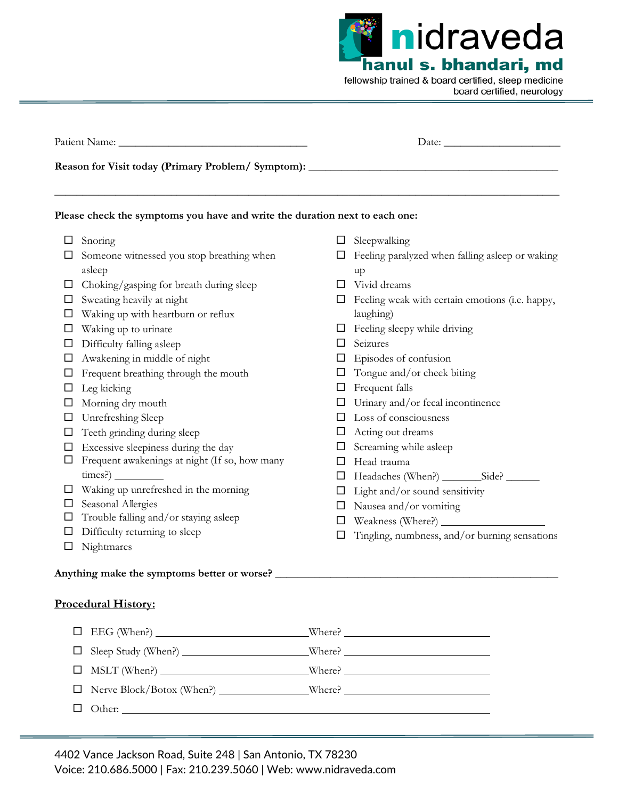nidraveda hanul s. bhandari, md fellowship trained & board certified, sleep medicine board certified, neurology

|        | Reason for Visit today (Primary Problem/ Symptom): ______________________________ |        |                                                              |  |  |
|--------|-----------------------------------------------------------------------------------|--------|--------------------------------------------------------------|--|--|
|        | Please check the symptoms you have and write the duration next to each one:       |        |                                                              |  |  |
| □      | Snoring                                                                           |        | $\Box$ Sleepwalking                                          |  |  |
|        | Someone witnessed you stop breathing when<br>asleep                               |        | $\Box$ Feeling paralyzed when falling asleep or waking<br>up |  |  |
| ப      | Choking/gasping for breath during sleep                                           | $\Box$ | Vivid dreams                                                 |  |  |
| □      | Sweating heavily at night                                                         | $\Box$ | Feeling weak with certain emotions (i.e. happy,              |  |  |
| ⊔      | Waking up with heartburn or reflux                                                |        | laughing)                                                    |  |  |
| □      | Waking up to urinate                                                              | ப      | Feeling sleepy while driving                                 |  |  |
| ப      | Difficulty falling asleep                                                         | $\Box$ | Seizures                                                     |  |  |
| ⊔      | Awakening in middle of night                                                      | □      | Episodes of confusion                                        |  |  |
| □      | Frequent breathing through the mouth                                              | $\Box$ | Tongue and/or cheek biting                                   |  |  |
| $\Box$ | Leg kicking                                                                       | $\Box$ | Frequent falls                                               |  |  |
| ப      | Morning dry mouth                                                                 | □      | Urinary and/or fecal incontinence                            |  |  |
| □      | Unrefreshing Sleep                                                                | $\Box$ | Loss of consciousness                                        |  |  |
| □      | Teeth grinding during sleep                                                       | $\Box$ | Acting out dreams                                            |  |  |
| □      | Excessive sleepiness during the day                                               | □      | Screaming while asleep                                       |  |  |
| □      | Frequent awakenings at night (If so, how many                                     | □      | Head trauma                                                  |  |  |
|        |                                                                                   | □      |                                                              |  |  |
| ப      | Waking up unrefreshed in the morning                                              | $\Box$ | Light and/or sound sensitivity                               |  |  |
| □      | Seasonal Allergies                                                                | ப      | Nausea and/or vomiting                                       |  |  |
| $\Box$ | Trouble falling and/or staying asleep                                             | $\Box$ |                                                              |  |  |
| □      | Difficulty returning to sleep                                                     | □      | Tingling, numbness, and/or burning sensations                |  |  |
| $\Box$ | Nightmares                                                                        |        |                                                              |  |  |

#### **Procedural History:**

| $\Box$ Other: $\Box$ |  |
|----------------------|--|
|                      |  |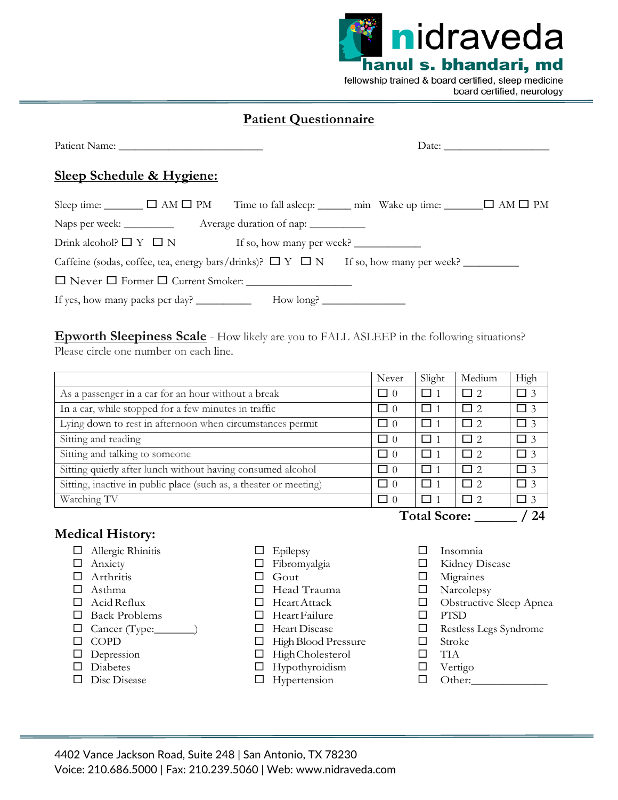

## **Patient Questionnaire**

| <u>Sleep Schedule &amp; Hygiene:</u>                                                         |  |  |
|----------------------------------------------------------------------------------------------|--|--|
| Sleep time: <u></u> □ AM □ PM Time to fall asleep: ______ min Wake up time: ______ □ AM □ PM |  |  |
| Naps per week: ____________ Average duration of nap: ___________                             |  |  |
| Drink alcohol? $\Box Y \Box N$ If so, how many per week?                                     |  |  |
| Caffeine (sodas, coffee, tea, energy bars/drinks)? $\Box Y \Box N$ If so, how many per week? |  |  |
|                                                                                              |  |  |
| If yes, how many packs per day? _______________ How long? ______________________             |  |  |

#### **Epworth Sleepiness Scale** - How likely are you to FALL ASLEEP in the following situations? Please circle one number on each line.

|                                                                   | Never    | Slight              | Medium    | High     |
|-------------------------------------------------------------------|----------|---------------------|-----------|----------|
| As a passenger in a car for an hour without a break               | $\Box$ 0 |                     | $\Box$ 2. | $\Box$ 3 |
| In a car, while stopped for a few minutes in traffic              | $\Box$ 0 |                     | $\Box$ 2  | $\Box$ 3 |
| Lying down to rest in afternoon when circumstances permit         | $\Box$ 0 | l 11                | $\Box$ 2  | $\Box$ 3 |
| Sitting and reading                                               | $\Box$ 0 | <b>11</b>           | $\Box$ 2  | $\Box$ 3 |
| Sitting and talking to someone                                    | $\Box$ 0 | l 11                | $\Box$ 2  | $\Box$ 3 |
| Sitting quietly after lunch without having consumed alcohol       | $\Box$ 0 | ⊓ 1                 | $\Box$ 2  | $\Box$ 3 |
| Sitting, inactive in public place (such as, a theater or meeting) | $\Box$ 0 | $\Box$ 1            | $\Box$ 2  | $\Box$ 3 |
| Watching TV                                                       | $\Box$ 0 | -r⊒ ″               | $\Box$ 2  | $\Box$ 3 |
|                                                                   |          | <b>Total Score:</b> |           |          |

#### **Medical History:**

- □ Allergic Rhinitis
- □ Anxiety
- $\Box$  Arthritis
- $\Box$  Asthma
- $\Box$  Acid Reflux
- □ Back Problems
- $\Box$  Cancer (Type:
- $\Box$  COPD
- $\Box$  Depression
- $\square$  Diabetes
- Disc Disease
- $\Box$  Epilepsy
- Fibromyalgia
- $\Box$  Gout
- □ Head Trauma
- □ Heart Attack
- □ Heart Failure
- Heart Disease
- $\Box$  High Blood Pressure
- □ HighCholesterol
- $\Box$  Hypothyroidism
- □ Hypertension
- $\square$  Insomnia
- Kidney Disease
- Migraines
- □ Narcolepsy
- **Obstructive Sleep Apnea**
- PTSD
- Restless Legs Syndrome
- □ Stroke
- $\square$  TIA
- □ Vertigo
- $\Box$  Other: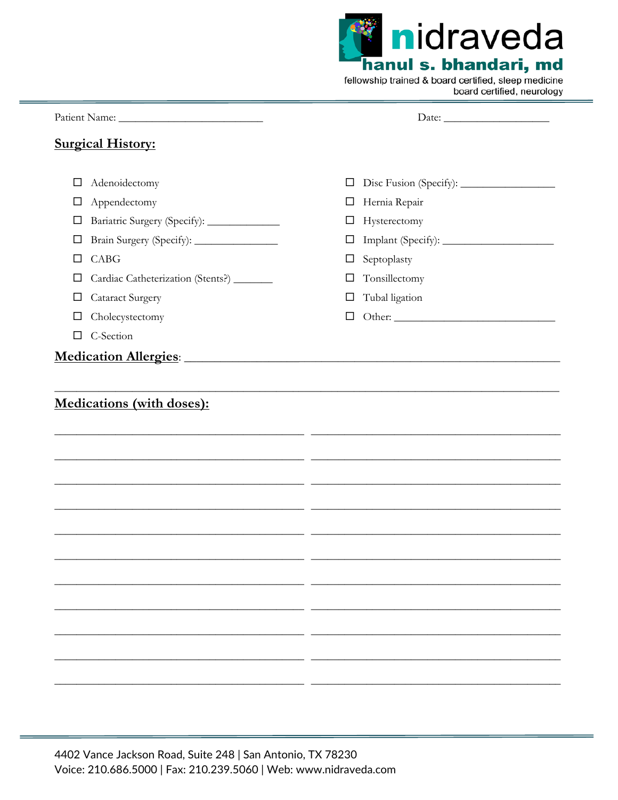|  | <b>Kindraveda</b>     |  |
|--|-----------------------|--|
|  | hanul s. bhandari, md |  |
|  |                       |  |

fellowship trained & board certified, sleep medicine board certified, neurology

#### Date:

# **Surgical History:**

| □      | Adenoidectomy                                           | $\Box$ |                                                                                                                      |
|--------|---------------------------------------------------------|--------|----------------------------------------------------------------------------------------------------------------------|
| □      | Appendectomy                                            |        | □ Hernia Repair                                                                                                      |
|        |                                                         |        |                                                                                                                      |
| □      | Bariatric Surgery (Specify): ______________             | $\Box$ | Hysterectomy                                                                                                         |
| $\Box$ | Brain Surgery (Specify): ________________               | $\Box$ |                                                                                                                      |
| □      | CABG                                                    | $\Box$ | Septoplasty                                                                                                          |
| □      | Cardiac Catheterization (Stents?) _______               | □      | Tonsillectomy                                                                                                        |
| ⊔      | <b>Cataract Surgery</b>                                 | □      | Tubal ligation                                                                                                       |
| □      | Cholecystectomy                                         |        |                                                                                                                      |
| □      | C-Section                                               |        |                                                                                                                      |
|        | Medication Allergies: Medication Allergies:             |        |                                                                                                                      |
|        |                                                         |        |                                                                                                                      |
|        |                                                         |        | <u> 1999 - Jan James James James James James James James James James James James James James James James James J</u> |
|        |                                                         |        |                                                                                                                      |
|        |                                                         |        |                                                                                                                      |
|        |                                                         |        |                                                                                                                      |
|        |                                                         |        |                                                                                                                      |
|        |                                                         |        |                                                                                                                      |
|        | <u> 1989 - Johann John Stone, mars et al. (</u> † 1920) |        |                                                                                                                      |
|        |                                                         |        |                                                                                                                      |
|        |                                                         |        |                                                                                                                      |
|        |                                                         |        |                                                                                                                      |
|        |                                                         |        |                                                                                                                      |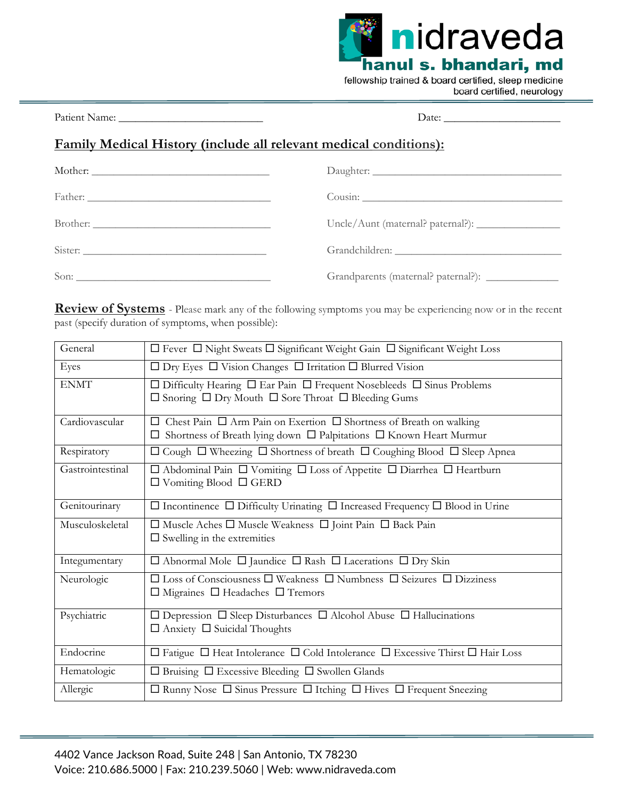

Patient Name: \_\_\_\_\_\_\_\_\_\_\_\_\_\_\_\_\_\_\_\_\_\_\_\_\_\_ Date: \_\_\_\_\_\_\_\_\_\_\_\_\_\_\_\_\_\_\_\_\_

# **Family Medical History (include all relevant medical conditions):**

| Grandparents (maternal? paternal?): _______________ |
|-----------------------------------------------------|

**Review of Systems** - Please mark any of the following symptoms you may be experiencing now or in the recent past (specify duration of symptoms, when possible):

| General          | $\Box$ Fever $\Box$ Night Sweats $\Box$ Significant Weight Gain $\Box$ Significant Weight Loss                                                                        |
|------------------|-----------------------------------------------------------------------------------------------------------------------------------------------------------------------|
| Eyes             | $\Box$ Dry Eyes $\Box$ Vision Changes $\Box$ Irritation $\Box$ Blurred Vision                                                                                         |
| <b>ENMT</b>      | $\Box$ Difficulty Hearing $\Box$ Ear Pain $\Box$ Frequent Nosebleeds $\Box$ Sinus Problems<br>$\Box$ Snoring $\Box$ Dry Mouth $\Box$ Sore Throat $\Box$ Bleeding Gums |
| Cardiovascular   | Chest Pain $\Box$ Arm Pain on Exertion $\Box$ Shortness of Breath on walking<br>$\Box$ Shortness of Breath lying down $\Box$ Palpitations $\Box$ Known Heart Murmur   |
| Respiratory      | $\Box$ Cough $\Box$ Wheezing $\Box$ Shortness of breath $\Box$ Coughing Blood $\Box$ Sleep Apnea                                                                      |
| Gastrointestinal | $\Box$ Abdominal Pain $\Box$ Vomiting $\Box$ Loss of Appetite $\Box$ Diarrhea $\Box$ Heartburn<br>$\Box$ Vomiting Blood $\Box$ GERD                                   |
| Genitourinary    | $\Box$ Incontinence $\Box$ Difficulty Urinating $\Box$ Increased Frequency $\Box$ Blood in Urine                                                                      |
| Musculoskeletal  | $\Box$ Muscle Aches $\Box$ Muscle Weakness $\Box$ Joint Pain $\Box$ Back Pain<br>$\square$ Swelling in the extremities                                                |
| Integumentary    | $\Box$ Abnormal Mole $\Box$ Jaundice $\Box$ Rash $\Box$ Lacerations $\Box$ Dry Skin                                                                                   |
| Neurologic       | $\square$ Loss of Consciousness $\square$ Weakness $\square$ Numbness $\square$ Seizures $\square$ Dizziness<br>$\Box$ Migraines $\Box$ Headaches $\Box$ Tremors      |
| Psychiatric      | $\Box$ Depression $\Box$ Sleep Disturbances $\Box$ Alcohol Abuse $\Box$ Hallucinations<br>$\Box$ Anxiety $\Box$ Suicidal Thoughts                                     |
| Endocrine        | $\Box$ Fatigue $\Box$ Heat Intolerance $\Box$ Cold Intolerance $\Box$ Excessive Thirst $\Box$ Hair Loss                                                               |
| Hematologic      | $\Box$ Bruising $\Box$ Excessive Bleeding $\Box$ Swollen Glands                                                                                                       |
| Allergic         | $\Box$ Runny Nose $\Box$ Sinus Pressure $\Box$ Itching $\Box$ Hives $\Box$ Frequent Sneezing                                                                          |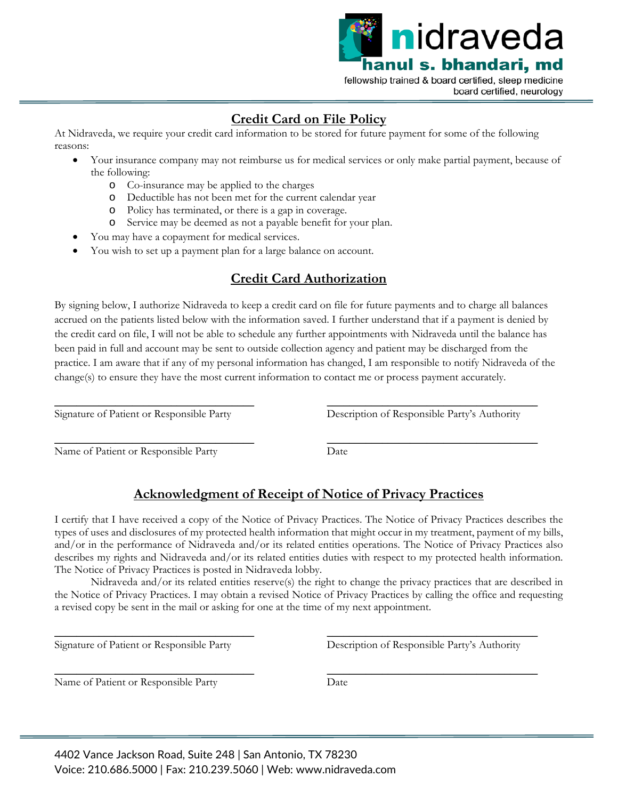

# **Credit Card on File Policy**

At Nidraveda, we require your credit card information to be stored for future payment for some of the following reasons:

- Your insurance company may not reimburse us for medical services or only make partial payment, because of the following:
	- o Co-insurance may be applied to the charges
	- o Deductible has not been met for the current calendar year
	- o Policy has terminated, or there is a gap in coverage.
	- o Service may be deemed as not a payable benefit for your plan.
- You may have a copayment for medical services.
- You wish to set up a payment plan for a large balance on account.

## **Credit Card Authorization**

By signing below, I authorize Nidraveda to keep a credit card on file for future payments and to charge all balances accrued on the patients listed below with the information saved. I further understand that if a payment is denied by the credit card on file, I will not be able to schedule any further appointments with Nidraveda until the balance has been paid in full and account may be sent to outside collection agency and patient may be discharged from the practice. I am aware that if any of my personal information has changed, I am responsible to notify Nidraveda of the change(s) to ensure they have the most current information to contact me or process payment accurately.

 $\overline{\phantom{a}}$  , where  $\overline{\phantom{a}}$  , where  $\overline{\phantom{a}}$  , where  $\overline{\phantom{a}}$  ,  $\overline{\phantom{a}}$  ,  $\overline{\phantom{a}}$  ,  $\overline{\phantom{a}}$  ,  $\overline{\phantom{a}}$  ,  $\overline{\phantom{a}}$  ,  $\overline{\phantom{a}}$  ,  $\overline{\phantom{a}}$  ,  $\overline{\phantom{a}}$  ,  $\overline{\phantom{a}}$  ,  $\overline{\phantom{a}}$  ,  $\overline{\phantom$ Signature of Patient or Responsible Party

 $\overline{\phantom{a}}$  , where  $\overline{\phantom{a}}$  , where  $\overline{\phantom{a}}$  ,  $\overline{\phantom{a}}$  ,  $\overline{\phantom{a}}$  ,  $\overline{\phantom{a}}$  ,  $\overline{\phantom{a}}$  ,  $\overline{\phantom{a}}$  ,  $\overline{\phantom{a}}$  ,  $\overline{\phantom{a}}$  ,  $\overline{\phantom{a}}$  ,  $\overline{\phantom{a}}$  ,  $\overline{\phantom{a}}$  ,  $\overline{\phantom{a}}$  ,  $\overline{\phantom{a}}$  , Description of Responsible Party's Authority

 $\overline{\phantom{a}}$  , where  $\overline{\phantom{a}}$  , where  $\overline{\phantom{a}}$  , where  $\overline{\phantom{a}}$  ,  $\overline{\phantom{a}}$  ,  $\overline{\phantom{a}}$  ,  $\overline{\phantom{a}}$  ,  $\overline{\phantom{a}}$  ,  $\overline{\phantom{a}}$  ,  $\overline{\phantom{a}}$  ,  $\overline{\phantom{a}}$  ,  $\overline{\phantom{a}}$  ,  $\overline{\phantom{a}}$  ,  $\overline{\phantom{a}}$  ,  $\overline{\phantom$ Name of Patient or Responsible Party

 $\overline{\phantom{a}}$  , where  $\overline{\phantom{a}}$  , where  $\overline{\phantom{a}}$  ,  $\overline{\phantom{a}}$  ,  $\overline{\phantom{a}}$  ,  $\overline{\phantom{a}}$  ,  $\overline{\phantom{a}}$  ,  $\overline{\phantom{a}}$  ,  $\overline{\phantom{a}}$  ,  $\overline{\phantom{a}}$  ,  $\overline{\phantom{a}}$  ,  $\overline{\phantom{a}}$  ,  $\overline{\phantom{a}}$  ,  $\overline{\phantom{a}}$  ,  $\overline{\phantom{a}}$  , Date

# **Acknowledgment of Receipt of Notice of Privacy Practices**

I certify that I have received a copy of the Notice of Privacy Practices. The Notice of Privacy Practices describes the types of uses and disclosures of my protected health information that might occur in my treatment, payment of my bills, and/or in the performance of Nidraveda and/or its related entities operations. The Notice of Privacy Practices also describes my rights and Nidraveda and/or its related entities duties with respect to my protected health information. The Notice of Privacy Practices is posted in Nidraveda lobby.

Nidraveda and/or its related entities reserve(s) the right to change the privacy practices that are described in the Notice of Privacy Practices. I may obtain a revised Notice of Privacy Practices by calling the office and requesting a revised copy be sent in the mail or asking for one at the time of my next appointment.

Signature of Patient or Responsible Party

 $\overline{\phantom{a}}$  , where  $\overline{\phantom{a}}$  , where  $\overline{\phantom{a}}$  , where  $\overline{\phantom{a}}$  ,  $\overline{\phantom{a}}$  ,  $\overline{\phantom{a}}$  ,  $\overline{\phantom{a}}$  ,  $\overline{\phantom{a}}$  ,  $\overline{\phantom{a}}$  ,  $\overline{\phantom{a}}$  ,  $\overline{\phantom{a}}$  ,  $\overline{\phantom{a}}$  ,  $\overline{\phantom{a}}$  ,  $\overline{\phantom{a}}$  ,  $\overline{\phantom$ 

 $\overline{\phantom{a}}$  , where  $\overline{\phantom{a}}$  , where  $\overline{\phantom{a}}$  , where  $\overline{\phantom{a}}$  ,  $\overline{\phantom{a}}$  ,  $\overline{\phantom{a}}$  ,  $\overline{\phantom{a}}$  ,  $\overline{\phantom{a}}$  ,  $\overline{\phantom{a}}$  ,  $\overline{\phantom{a}}$  ,  $\overline{\phantom{a}}$  ,  $\overline{\phantom{a}}$  ,  $\overline{\phantom{a}}$  ,  $\overline{\phantom{a}}$  ,  $\overline{\phantom$ 

 $\overline{\phantom{a}}$  , where  $\overline{\phantom{a}}$  , where  $\overline{\phantom{a}}$  ,  $\overline{\phantom{a}}$  ,  $\overline{\phantom{a}}$  ,  $\overline{\phantom{a}}$  ,  $\overline{\phantom{a}}$  ,  $\overline{\phantom{a}}$  ,  $\overline{\phantom{a}}$  ,  $\overline{\phantom{a}}$  ,  $\overline{\phantom{a}}$  ,  $\overline{\phantom{a}}$  ,  $\overline{\phantom{a}}$  ,  $\overline{\phantom{a}}$  ,  $\overline{\phantom{a}}$  , Description of Responsible Party's Authority

Name of Patient or Responsible Party

 $\overline{\phantom{a}}$  , where  $\overline{\phantom{a}}$  , where  $\overline{\phantom{a}}$  ,  $\overline{\phantom{a}}$  ,  $\overline{\phantom{a}}$  ,  $\overline{\phantom{a}}$  ,  $\overline{\phantom{a}}$  ,  $\overline{\phantom{a}}$  ,  $\overline{\phantom{a}}$  ,  $\overline{\phantom{a}}$  ,  $\overline{\phantom{a}}$  ,  $\overline{\phantom{a}}$  ,  $\overline{\phantom{a}}$  ,  $\overline{\phantom{a}}$  ,  $\overline{\phantom{a}}$  , Date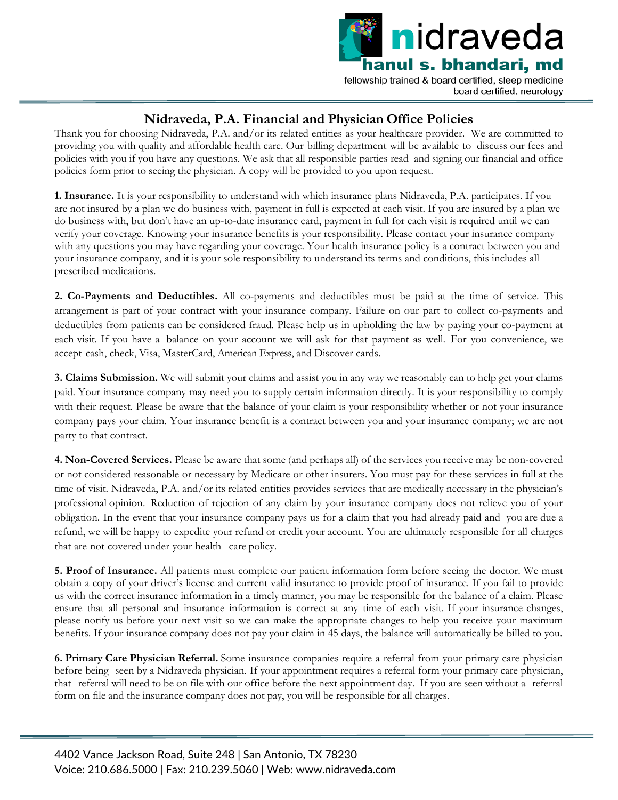

# **Nidraveda, P.A. Financial and Physician Office Policies**

Thank you for choosing Nidraveda, P.A. and/or its related entities as your healthcare provider. We are committed to providing you with quality and affordable health care. Our billing department will be available to discuss our fees and policies with you if you have any questions. We ask that all responsible parties read and signing our financial and office policies form prior to seeing the physician. A copy will be provided to you upon request.

**1. Insurance.** It is your responsibility to understand with which insurance plans Nidraveda, P.A. participates. If you are not insured by a plan we do business with, payment in full is expected at each visit. If you are insured by a plan we do business with, but don't have an up-to-date insurance card, payment in full for each visit is required until we can verify your coverage. Knowing your insurance benefits is your responsibility. Please contact your insurance company with any questions you may have regarding your coverage. Your health insurance policy is a contract between you and your insurance company, and it is your sole responsibility to understand its terms and conditions, this includes all prescribed medications.

**2. Co-Payments and Deductibles.** All co-payments and deductibles must be paid at the time of service. This arrangement is part of your contract with your insurance company. Failure on our part to collect co-payments and deductibles from patients can be considered fraud. Please help us in upholding the law by paying your co-payment at each visit. If you have a balance on your account we will ask for that payment as well. For you convenience, we accept cash, check, Visa, MasterCard, American Express, and Discover cards.

**3. Claims Submission.** We will submit your claims and assist you in any way we reasonably can to help get your claims paid. Your insurance company may need you to supply certain information directly. It is your responsibility to comply with their request. Please be aware that the balance of your claim is your responsibility whether or not your insurance company pays your claim. Your insurance benefit is a contract between you and your insurance company; we are not party to that contract.

**4. Non-Covered Services.** Please be aware that some (and perhaps all) of the services you receive may be non-covered or not considered reasonable or necessary by Medicare or other insurers. You must pay for these services in full at the time of visit. Nidraveda, P.A. and/or its related entities provides services that are medically necessary in the physician's professional opinion. Reduction of rejection of any claim by your insurance company does not relieve you of your obligation. In the event that your insurance company pays us for a claim that you had already paid and you are due a refund, we will be happy to expedite your refund or credit your account. You are ultimately responsible for all charges that are not covered under your health care policy.

**5. Proof of Insurance.** All patients must complete our patient information form before seeing the doctor. We must obtain a copy of your driver's license and current valid insurance to provide proof of insurance. If you fail to provide us with the correct insurance information in a timely manner, you may be responsible for the balance of a claim. Please ensure that all personal and insurance information is correct at any time of each visit. If your insurance changes, please notify us before your next visit so we can make the appropriate changes to help you receive your maximum benefits. If your insurance company does not pay your claim in 45 days, the balance will automatically be billed to you.

**6. Primary Care Physician Referral.** Some insurance companies require a referral from your primary care physician before being seen by a Nidraveda physician. If your appointment requires a referral form your primary care physician, that referral will need to be on file with our office before the next appointment day. If you are seen without a referral form on file and the insurance company does not pay, you will be responsible for all charges.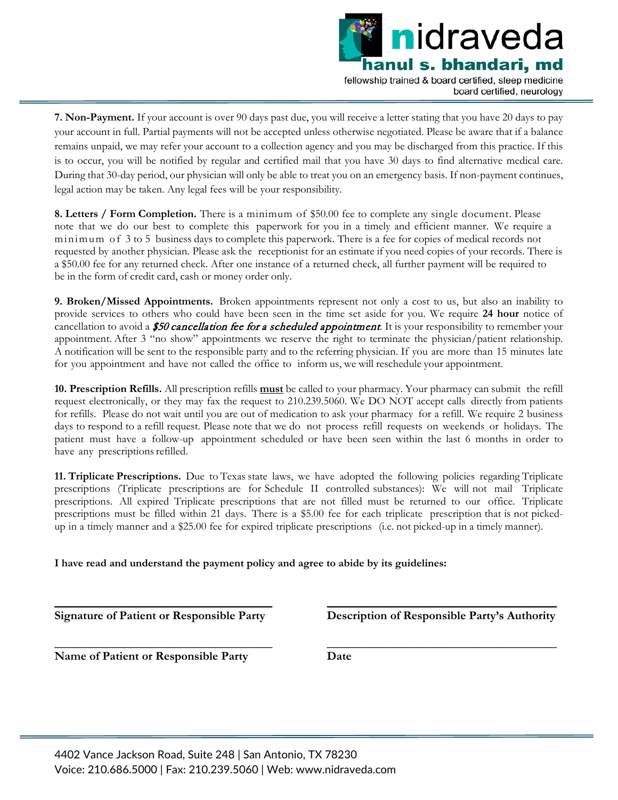

**7. Non-Payment.** If your account is over 90 days past due, you will receive a letter stating that you have 20 days to pay your account in full. Partial payments will not be accepted unless otherwise negotiated. Please be aware that if a balance remains unpaid, we may refer your account to a collection agency and you may be discharged from this practice. If this is to occur, you will be notified by regular and certified mail that you have 30 days to find alternative medical care. During that 30-day period, our physician will only be able to treat you on an emergency basis. If non-payment continues, legal action may be taken. Any legal fees will be your responsibility.

**8. Letters / Form Completion.** There is a minimum of \$50.00 fee to complete any single document. Please note that we do our best to complete this paperwork for you in a timely and efficient manner. We require a minimum of 3 to 5 business days to complete this paperwork. There is a fee for copies of medical records not requested by another physician. Please ask the receptionist for an estimate if you need copies of your records. There is a \$50.00 fee for any returned check. After one instance of a returned check, all further payment will be required to be in the form of credit card, cash or money order only.

**9. Broken/Missed Appointments.** Broken appointments represent not only a cost to us, but also an inability to provide services to others who could have been seen in the time set aside for you. We require **24 hour** notice of cancellation to avoid a \$50 cancellation fee for a scheduled appointment. It is your responsibility to remember your appointment. After 3 "no show" appointments we reserve the right to terminate the physician/patient relationship. A notification will be sent to the responsible party and to the referring physician. If you are more than 15 minutes late for you appointment and have not called the office to inform us, we will reschedule your appointment.

**10. Prescription Refills.** All prescription refills **must** be called to your pharmacy. Your pharmacy can submit the refill request electronically, or they may fax the request to 210.239.5060. We DO NOT accept calls directly from patients for refills. Please do not wait until you are out of medication to ask your pharmacy for a refill. We require 2 business days to respond to a refill request. Please note that we do not process refill requests on weekends or holidays. The patient must have a follow-up appointment scheduled or have been seen within the last 6 months in order to have any prescriptions refilled.

**11. Triplicate Prescriptions.** Due to Texas state laws, we have adopted the following policies regarding Triplicate prescriptions (Triplicate prescriptions are for Schedule II controlled substances): We will not mail Triplicate prescriptions. All expired Triplicate prescriptions that are not filled must be returned to our office. Triplicate prescriptions must be filled within 21 days. There is a \$5.00 fee for each triplicate prescription that is not pickedup in a timely manner and a \$25.00 fee for expired triplicate prescriptions (i.e. not picked-up in a timely manner).

**I have read and understand the payment policy and agree to abide by its guidelines:**

**\_\_\_\_\_\_\_\_\_\_\_\_\_\_\_\_\_\_\_\_\_\_\_\_\_\_\_\_\_\_\_\_\_\_\_\_ Signature of Patient or Responsible Party**

**\_\_\_\_\_\_\_\_\_\_\_\_\_\_\_\_\_\_\_\_\_\_\_\_\_\_\_\_\_\_\_\_\_\_\_\_**

**\_\_\_\_\_\_\_\_\_\_\_\_\_\_\_\_\_\_\_\_\_\_\_\_\_\_\_\_\_\_\_\_\_\_\_\_\_\_ Description of Responsible Party's Authority**

**\_\_\_\_\_\_\_\_\_\_\_\_\_\_\_\_\_\_\_\_\_\_\_\_\_\_\_\_\_\_\_\_\_\_\_\_\_\_**

**Name of Patient or Responsible Party**

**Date**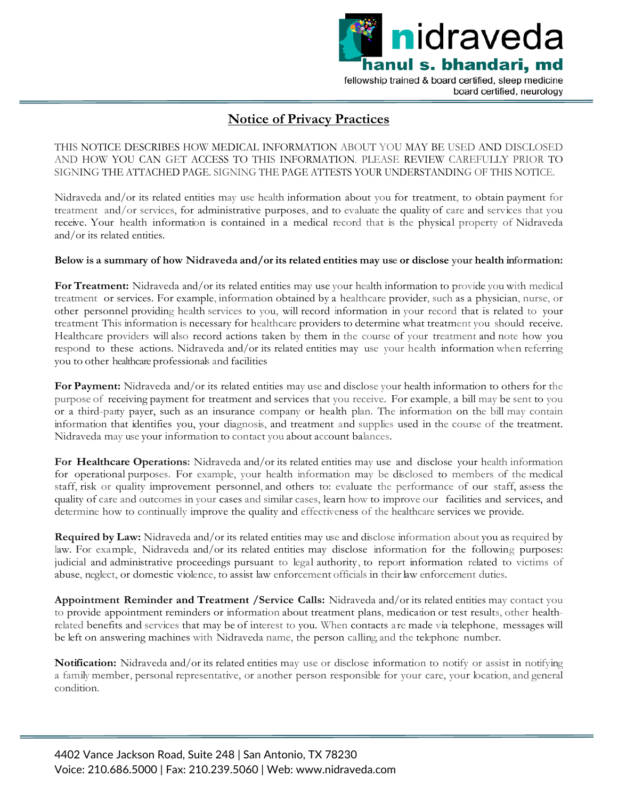

## **Notice of Privacy Practices**

THIS NOTICE DESCRIBES HOW MEDICAL INFORMATION ABOUT YOU MAY BE USED AND DISCLOSED AND HOW YOU CAN GET ACCESS TO THIS INFORMATION. PLEASE REVIEW CAREFULLY PRIOR TO SIGNING THE ATTACHED PAGE. SIGNING THE PAGE ATTESTS YOUR UNDERSTANDING OF THIS NOTICE.

Nidraveda and/or its related entities may use health information about you for treatment, to obtain payment for treatment and/or services, for administrative purposes, and to evaluate the quality of care and services that you receive. Your health information is contained in a medical record that is the physical property of Nidraveda and/or its related entities.

#### **Below is a summary of how Nidraveda and/or its related entities may use or disclose your health information:**

**For Treatment:** Nidraveda and/or its related entities may use your health information to provide you with medical treatment or services. For example, information obtained by a healthcare provider, such as a physician, nurse, or other personnel providing health services to you, will record information in your record that is related to your treatment This information is necessary for healthcare providers to determine what treatment you should receive. Healthcare providers will also record actions taken by them in the course of your treatment and note how you respond to these actions. Nidraveda and/or its related entities may use your health information when referring you to other healthcare professionals and facilities

**For Payment:** Nidraveda and/or its related entities may use and disclose your health information to others for the purpose of receiving payment for treatment and services that you receive. For example, a bill may be sent to you or a third-party payer, such as an insurance company or health plan. The information on the bill may contain information that identifies you, your diagnosis, and treatment and supplies used in the course of the treatment. Nidraveda may use your information to contact you about account balances.

**For Healthcare Operations:** Nidraveda and/or its related entities may use and disclose your health information for operational purposes. For example, your health information may be disclosed to members of the medical staff, risk or quality improvement personnel, and others to: evaluate the performance of our staff, assess the quality of care and outcomes in your cases and similar cases, learn how to improve our facilities and services, and determine how to continually improve the quality and effectiveness of the healthcare services we provide.

**Required by Law:** Nidraveda and/or its related entities may use and disclose information about you as required by law. For example, Nidraveda and/or its related entities may disclose information for the following purposes: judicial and administrative proceedings pursuant to legal authority, to report information related to victims of abuse, neglect, or domestic violence, to assist law enforcement officials in their law enforcement duties.

**Appointment Reminder and Treatment /Service Calls:** Nidraveda and/or its related entities may contact you to provide appointment reminders or information about treatment plans, medication or test results, other healthrelated benefits and services that may be of interest to you. When contacts are made via telephone, messages will be left on answering machines with Nidraveda name, the person calling, and the telephone number.

**Notification:** Nidraveda and/or its related entities may use or disclose information to notify or assist in notifying a family member, personal representative, or another person responsible for your care, your location, and general condition.